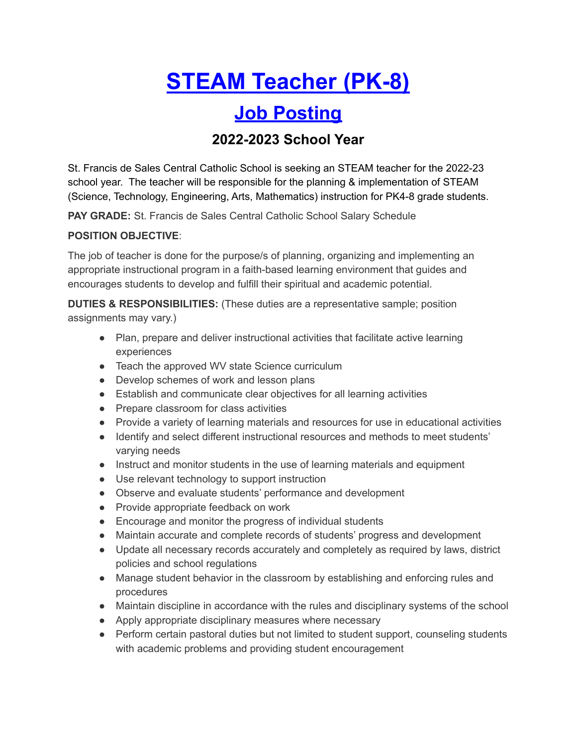# **STEAM Teacher (PK-8)**

## **Job Posting**

### **2022-2023 School Year**

St. Francis de Sales Central Catholic School is seeking an STEAM teacher for the 2022-23 school year. The teacher will be responsible for the planning & implementation of STEAM (Science, Technology, Engineering, Arts, Mathematics) instruction for PK4-8 grade students.

**PAY GRADE:** St. Francis de Sales Central Catholic School Salary Schedule

#### **POSITION OBJECTIVE**:

The job of teacher is done for the purpose/s of planning, organizing and implementing an appropriate instructional program in a faith-based learning environment that guides and encourages students to develop and fulfill their spiritual and academic potential.

**DUTIES & RESPONSIBILITIES:** (These duties are a representative sample; position assignments may vary.)

- Plan, prepare and deliver instructional activities that facilitate active learning experiences
- Teach the approved WV state Science curriculum
- Develop schemes of work and lesson plans
- Establish and communicate clear objectives for all learning activities
- Prepare classroom for class activities
- Provide a variety of learning materials and resources for use in educational activities
- Identify and select different instructional resources and methods to meet students' varying needs
- Instruct and monitor students in the use of learning materials and equipment
- Use relevant technology to support instruction
- Observe and evaluate students' performance and development
- Provide appropriate feedback on work
- Encourage and monitor the progress of individual students
- Maintain accurate and complete records of students' progress and development
- Update all necessary records accurately and completely as required by laws, district policies and school regulations
- Manage student behavior in the classroom by establishing and enforcing rules and procedures
- Maintain discipline in accordance with the rules and disciplinary systems of the school
- Apply appropriate disciplinary measures where necessary
- Perform certain pastoral duties but not limited to student support, counseling students with academic problems and providing student encouragement